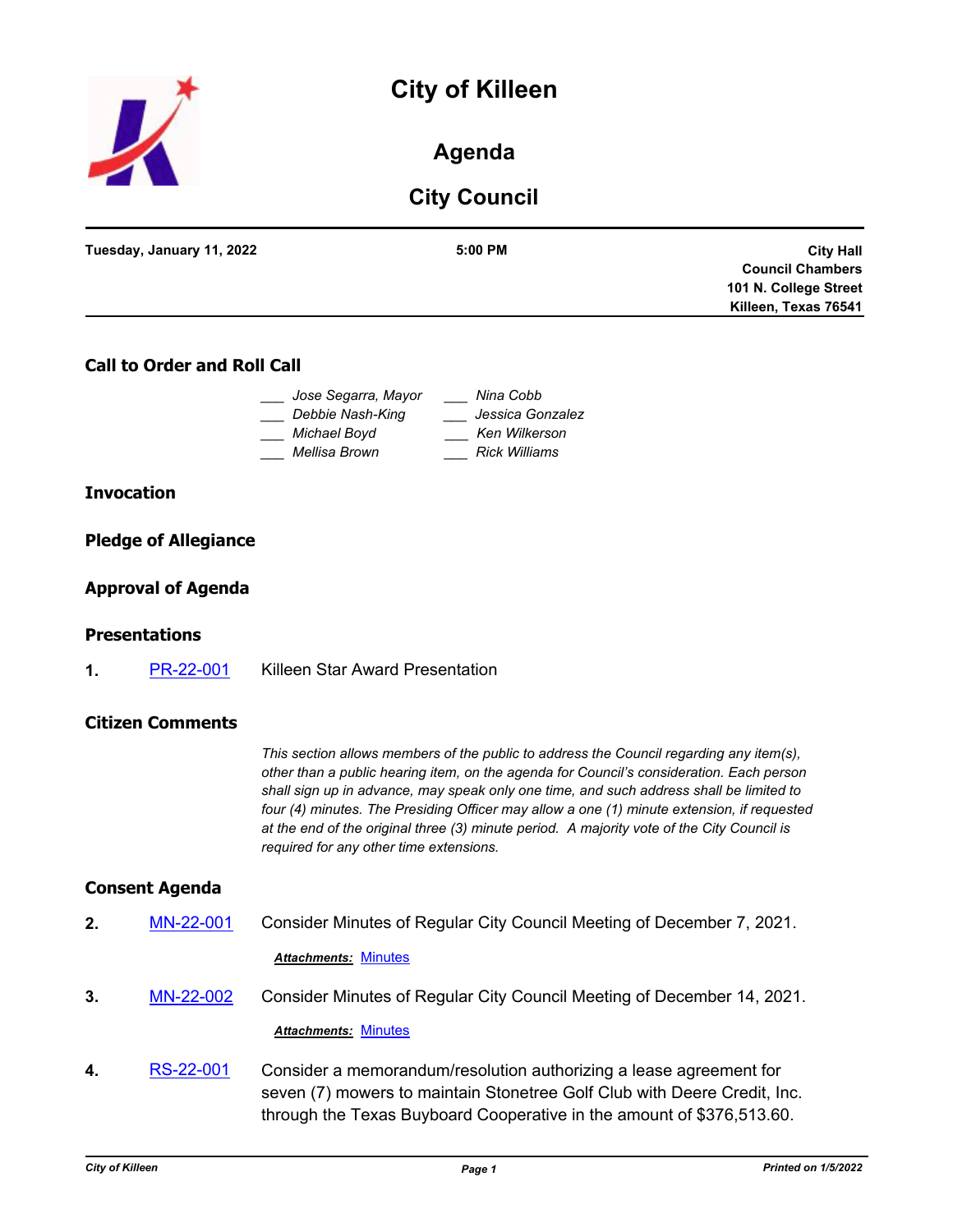# **City of Killeen**



### **Agenda**

## **City Council**

| Tuesday, January 11, 2022 | $5:00$ PM | <b>City Hall</b>        |
|---------------------------|-----------|-------------------------|
|                           |           | <b>Council Chambers</b> |
|                           |           | 101 N. College Street   |
|                           |           | Killeen, Texas 76541    |
|                           |           |                         |

#### **Call to Order and Roll Call**

| Jose Segarra, Mayor | Nina Cobb            |
|---------------------|----------------------|
| Debbie Nash-King    | Jessica Gonzalez     |
| Michael Boyd        | Ken Wilkerson        |
| Mellisa Brown       | <b>Rick Williams</b> |

#### **Invocation**

#### **Pledge of Allegiance**

#### **Approval of Agenda**

#### **Presentations**

**1.** [PR-22-001](http://killeen.legistar.com/gateway.aspx?m=l&id=/matter.aspx?key=5907) Killeen Star Award Presentation

#### **Citizen Comments**

*This section allows members of the public to address the Council regarding any item(s), other than a public hearing item, on the agenda for Council's consideration. Each person shall sign up in advance, may speak only one time, and such address shall be limited to four (4) minutes. The Presiding Officer may allow a one (1) minute extension, if requested at the end of the original three (3) minute period. A majority vote of the City Council is required for any other time extensions.*

#### **Consent Agenda**

**2.** [MN-22-001](http://killeen.legistar.com/gateway.aspx?m=l&id=/matter.aspx?key=5871) Consider Minutes of Regular City Council Meeting of December 7, 2021.

### *Attachments:* [Minutes](http://killeen.legistar.com/gateway.aspx?M=F&ID=dbcfbea6-1ee7-4aaf-b91f-c2aa1aebff7c.pdf)

- **3.** [MN-22-002](http://killeen.legistar.com/gateway.aspx?m=l&id=/matter.aspx?key=5904) Consider Minutes of Regular City Council Meeting of December 14, 2021. *Attachments:* [Minutes](http://killeen.legistar.com/gateway.aspx?M=F&ID=d1f53c47-510e-4107-8136-d9399410e88c.pdf)
- **4.** [RS-22-001](http://killeen.legistar.com/gateway.aspx?m=l&id=/matter.aspx?key=5865) Consider a memorandum/resolution authorizing a lease agreement for seven (7) mowers to maintain Stonetree Golf Club with Deere Credit, Inc. through the Texas Buyboard Cooperative in the amount of \$376,513.60.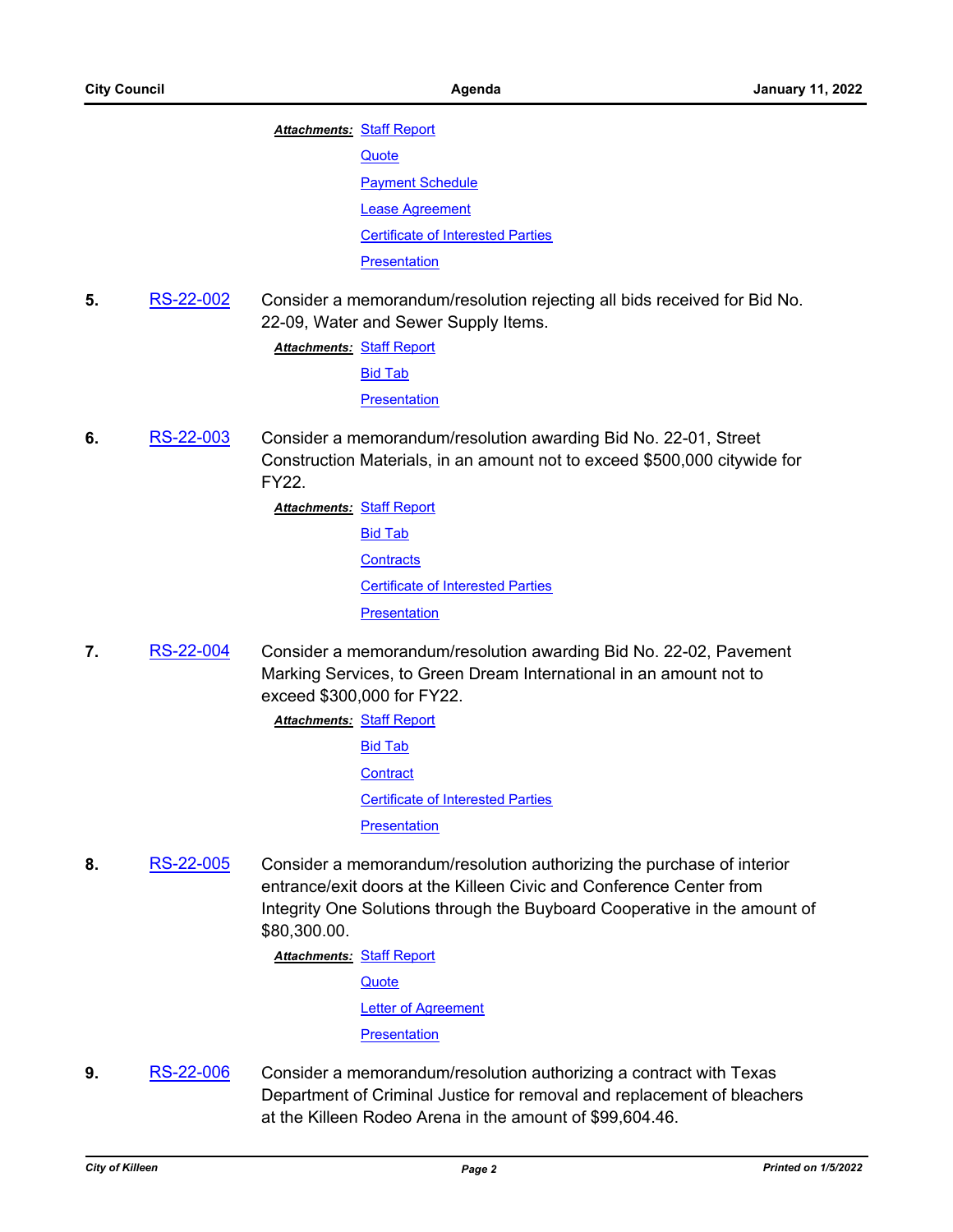**Attachments: [Staff Report](http://killeen.legistar.com/gateway.aspx?M=F&ID=712e0af5-52e4-4cb8-815f-56d0f93b51cd.pdf)** 

**[Quote](http://killeen.legistar.com/gateway.aspx?M=F&ID=bde95734-de69-4a84-9d7f-0a85d68b19b2.pdf)** 

**[Payment Schedule](http://killeen.legistar.com/gateway.aspx?M=F&ID=e42dddc3-3864-4529-86b8-5a368e45c9c8.pdf)** [Lease Agreement](http://killeen.legistar.com/gateway.aspx?M=F&ID=8a44423e-a967-4efd-af93-36372a83bc2b.pdf) [Certificate of Interested Parties](http://killeen.legistar.com/gateway.aspx?M=F&ID=ca851644-d7eb-4946-b1a5-81d47ff25d36.pdf)

**[Presentation](http://killeen.legistar.com/gateway.aspx?M=F&ID=bfbb991b-b891-49fa-9f66-79008b52725e.pdf)** 

**5.** [RS-22-002](http://killeen.legistar.com/gateway.aspx?m=l&id=/matter.aspx?key=5879) Consider a memorandum/resolution rejecting all bids received for Bid No. 22-09, Water and Sewer Supply Items.

**Attachments: [Staff Report](http://killeen.legistar.com/gateway.aspx?M=F&ID=c73268d1-f0ad-44d3-b2c3-de1bbe789a51.pdf)** 

[Bid Tab](http://killeen.legistar.com/gateway.aspx?M=F&ID=a6700d00-1a4a-4b02-814d-5487f2323200.pdf)

**[Presentation](http://killeen.legistar.com/gateway.aspx?M=F&ID=1a49349b-7728-460e-af12-05de2d4c4487.pdf)** 

- **6.** [RS-22-003](http://killeen.legistar.com/gateway.aspx?m=l&id=/matter.aspx?key=5880) Consider a memorandum/resolution awarding Bid No. 22-01, Street Construction Materials, in an amount not to exceed \$500,000 citywide for FY22.
	- **Attachments: [Staff Report](http://killeen.legistar.com/gateway.aspx?M=F&ID=39b99bbc-891d-4282-813b-bed8c7411447.pdf)** [Bid Tab](http://killeen.legistar.com/gateway.aspx?M=F&ID=dfd3ad51-e36e-49b6-88da-40f27097e25f.pdf) **[Contracts](http://killeen.legistar.com/gateway.aspx?M=F&ID=eabd1dd6-e814-47dc-8a55-d9ca48e3e7a7.pdf)** [Certificate of Interested Parties](http://killeen.legistar.com/gateway.aspx?M=F&ID=1e2f51ef-8033-4f98-a71f-65793e20407b.pdf) **[Presentation](http://killeen.legistar.com/gateway.aspx?M=F&ID=793b267e-8288-4b98-b5bd-01a59498a152.pdf)**
- **7.** [RS-22-004](http://killeen.legistar.com/gateway.aspx?m=l&id=/matter.aspx?key=5881) Consider a memorandum/resolution awarding Bid No. 22-02, Pavement Marking Services, to Green Dream International in an amount not to exceed \$300,000 for FY22.
	- **Attachments: [Staff Report](http://killeen.legistar.com/gateway.aspx?M=F&ID=52f47cea-1e52-40e6-bbb4-96f9f313b0f6.pdf)** [Bid Tab](http://killeen.legistar.com/gateway.aspx?M=F&ID=c33a6e69-7206-4416-b598-757ba2900642.pdf) **[Contract](http://killeen.legistar.com/gateway.aspx?M=F&ID=d2fad071-0978-4667-a130-60fce827e8a9.pdf)** [Certificate of Interested Parties](http://killeen.legistar.com/gateway.aspx?M=F&ID=5eb0e879-8909-46e1-98c2-76a33659952e.pdf) **[Presentation](http://killeen.legistar.com/gateway.aspx?M=F&ID=9a3fe727-87b3-4df6-b870-4064a0d6ba68.pdf)**
- **8.** [RS-22-005](http://killeen.legistar.com/gateway.aspx?m=l&id=/matter.aspx?key=5893) Consider a memorandum/resolution authorizing the purchase of interior entrance/exit doors at the Killeen Civic and Conference Center from Integrity One Solutions through the Buyboard Cooperative in the amount of \$80,300.00.

**Attachments: [Staff Report](http://killeen.legistar.com/gateway.aspx?M=F&ID=65afb9e4-65aa-4c13-bc7b-19ef2286a9c3.pdf)** 

**[Quote](http://killeen.legistar.com/gateway.aspx?M=F&ID=f0c77bc3-c27d-49c0-85a9-7e09b153dcee.pdf)** 

[Letter of Agreement](http://killeen.legistar.com/gateway.aspx?M=F&ID=eff52bcb-e47a-49ca-baa7-0f9afde648d7.pdf)

**[Presentation](http://killeen.legistar.com/gateway.aspx?M=F&ID=2f068944-cb24-452f-bd5e-d6c8413be288.pdf)** 

**9.** [RS-22-006](http://killeen.legistar.com/gateway.aspx?m=l&id=/matter.aspx?key=5873) Consider a memorandum/resolution authorizing a contract with Texas Department of Criminal Justice for removal and replacement of bleachers at the Killeen Rodeo Arena in the amount of \$99,604.46.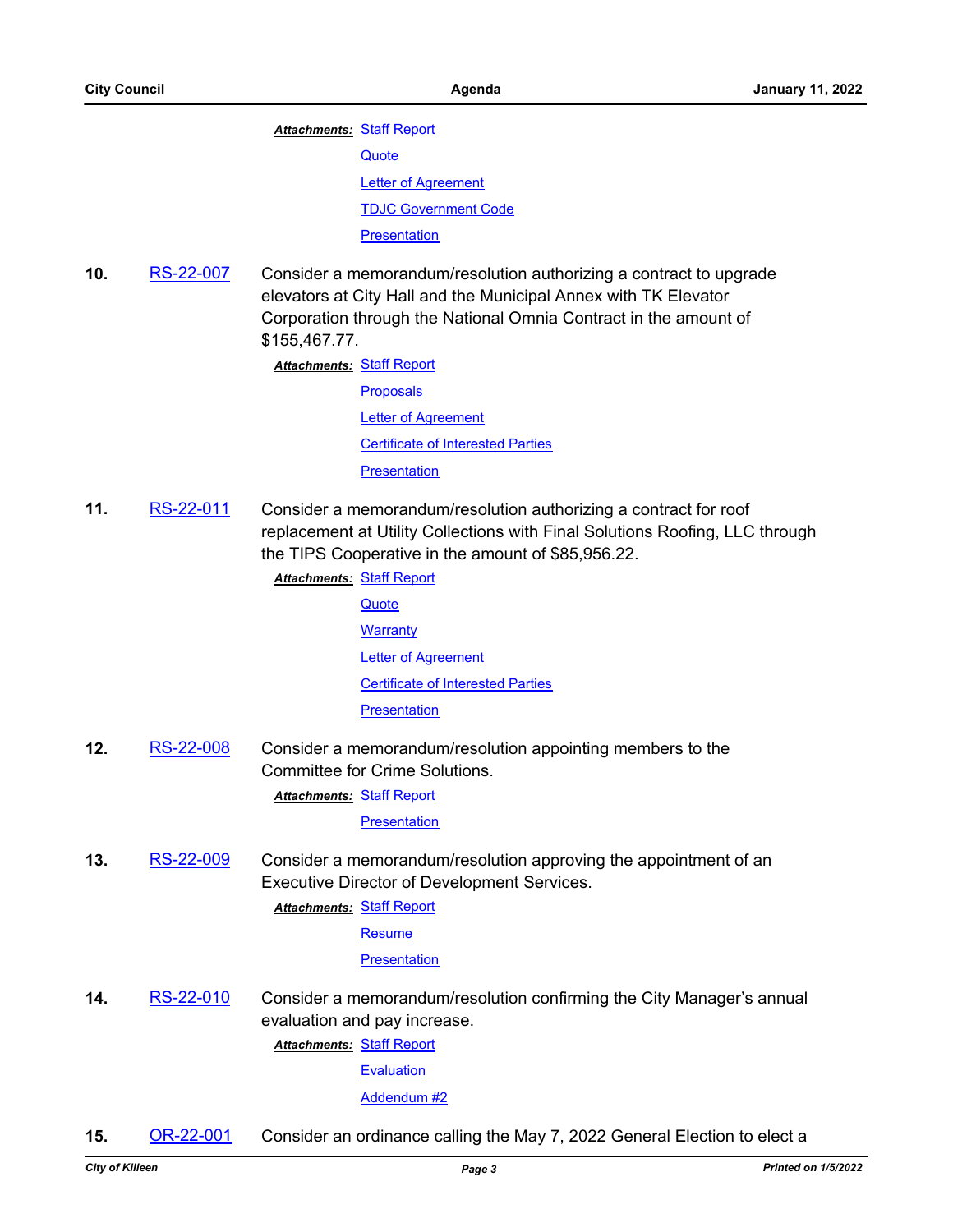**Attachments: [Staff Report](http://killeen.legistar.com/gateway.aspx?M=F&ID=4523acd6-7c70-4dcb-b13a-590bd969ede1.pdf)** 

**[Quote](http://killeen.legistar.com/gateway.aspx?M=F&ID=b6cf22d6-2f16-4f44-8fc8-81b328f163de.pdf)** 

**[Letter of Agreement](http://killeen.legistar.com/gateway.aspx?M=F&ID=2c0fb28f-1057-40ca-bcca-ec9921723580.pdf)** 

[TDJC Government Code](http://killeen.legistar.com/gateway.aspx?M=F&ID=e26cfe9d-bd1c-4417-8b71-98736b3c80e4.pdf)

#### **[Presentation](http://killeen.legistar.com/gateway.aspx?M=F&ID=e3b5b1a2-4798-4ae1-ac5e-9b24a20cb4ab.pdf)**

**10.** [RS-22-007](http://killeen.legistar.com/gateway.aspx?m=l&id=/matter.aspx?key=5888) Consider a memorandum/resolution authorizing a contract to upgrade elevators at City Hall and the Municipal Annex with TK Elevator Corporation through the National Omnia Contract in the amount of \$155,467.77.

**Attachments: [Staff Report](http://killeen.legistar.com/gateway.aspx?M=F&ID=db388201-823f-42db-bc98-56967a2d75e1.pdf)** 

[Proposals](http://killeen.legistar.com/gateway.aspx?M=F&ID=b9185c6f-f0c7-4e43-8a54-e4073095be7b.pdf) [Letter of Agreement](http://killeen.legistar.com/gateway.aspx?M=F&ID=8d6e0dae-cdd5-4f01-84d3-6bd72c5b0db1.pdf) [Certificate of Interested Parties](http://killeen.legistar.com/gateway.aspx?M=F&ID=d07c23df-d877-464a-9115-543e7bac6bcb.pdf) **[Presentation](http://killeen.legistar.com/gateway.aspx?M=F&ID=1c0dcb33-5bc7-4955-807d-ffba7bc41b2e.pdf)** 

**11.** [RS-22-011](http://killeen.legistar.com/gateway.aspx?m=l&id=/matter.aspx?key=5897) Consider a memorandum/resolution authorizing a contract for roof replacement at Utility Collections with Final Solutions Roofing, LLC through the TIPS Cooperative in the amount of \$85,956.22.

> **Attachments: [Staff Report](http://killeen.legistar.com/gateway.aspx?M=F&ID=b804d0fb-8297-46c7-8a1e-6531b31d7487.pdf) [Quote](http://killeen.legistar.com/gateway.aspx?M=F&ID=6f6a18a2-3044-4843-9445-8658d7216a91.pdf)**

> > **[Warranty](http://killeen.legistar.com/gateway.aspx?M=F&ID=8149a40b-8cf7-4f5b-acc4-be161925354b.pdf)** [Letter of Agreement](http://killeen.legistar.com/gateway.aspx?M=F&ID=f9f0fe0b-7fcb-4597-b583-e734f697be75.pdf) [Certificate of Interested Parties](http://killeen.legistar.com/gateway.aspx?M=F&ID=c2e182d7-7fed-4e56-944a-2d3fa977e184.pdf)

**[Presentation](http://killeen.legistar.com/gateway.aspx?M=F&ID=fa742fd2-b3f4-4d9d-944b-19f36c716bfb.pdf)** 

**12.** [RS-22-008](http://killeen.legistar.com/gateway.aspx?m=l&id=/matter.aspx?key=5913) Consider a memorandum/resolution appointing members to the Committee for Crime Solutions.

**Attachments: [Staff Report](http://killeen.legistar.com/gateway.aspx?M=F&ID=c2d84902-01eb-4126-8f79-f13d15a137d9.pdf)** 

**[Presentation](http://killeen.legistar.com/gateway.aspx?M=F&ID=c1d15340-a020-4425-ae02-78d82397485f.pdf)** 

**13.** [RS-22-009](http://killeen.legistar.com/gateway.aspx?m=l&id=/matter.aspx?key=5914) Consider a memorandum/resolution approving the appointment of an Executive Director of Development Services.

**Attachments: [Staff Report](http://killeen.legistar.com/gateway.aspx?M=F&ID=53f9fe16-af8d-47a0-a2af-988a6ca173fa.pdf)** 

[Resume](http://killeen.legistar.com/gateway.aspx?M=F&ID=ab3b516f-0a71-47f3-83ab-a03515e75b3b.pdf)

**[Presentation](http://killeen.legistar.com/gateway.aspx?M=F&ID=e29380ff-b827-4489-bf38-66b82ed5676c.pdf)** 

**14.** [RS-22-010](http://killeen.legistar.com/gateway.aspx?m=l&id=/matter.aspx?key=5910) Consider a memorandum/resolution confirming the City Manager's annual evaluation and pay increase.

**Attachments: [Staff Report](http://killeen.legistar.com/gateway.aspx?M=F&ID=562d403a-851a-4569-ad33-03b5da134aae.pdf)** 

[Evaluation](http://killeen.legistar.com/gateway.aspx?M=F&ID=68c70e4c-3e0d-44bb-8caf-1c82ad261059.pdf)

#### [Addendum #2](http://killeen.legistar.com/gateway.aspx?M=F&ID=d2b9008d-52e9-497c-9490-bed6d621fe57.pdf)

**15.** [OR-22-001](http://killeen.legistar.com/gateway.aspx?m=l&id=/matter.aspx?key=5898) Consider an ordinance calling the May 7, 2022 General Election to elect a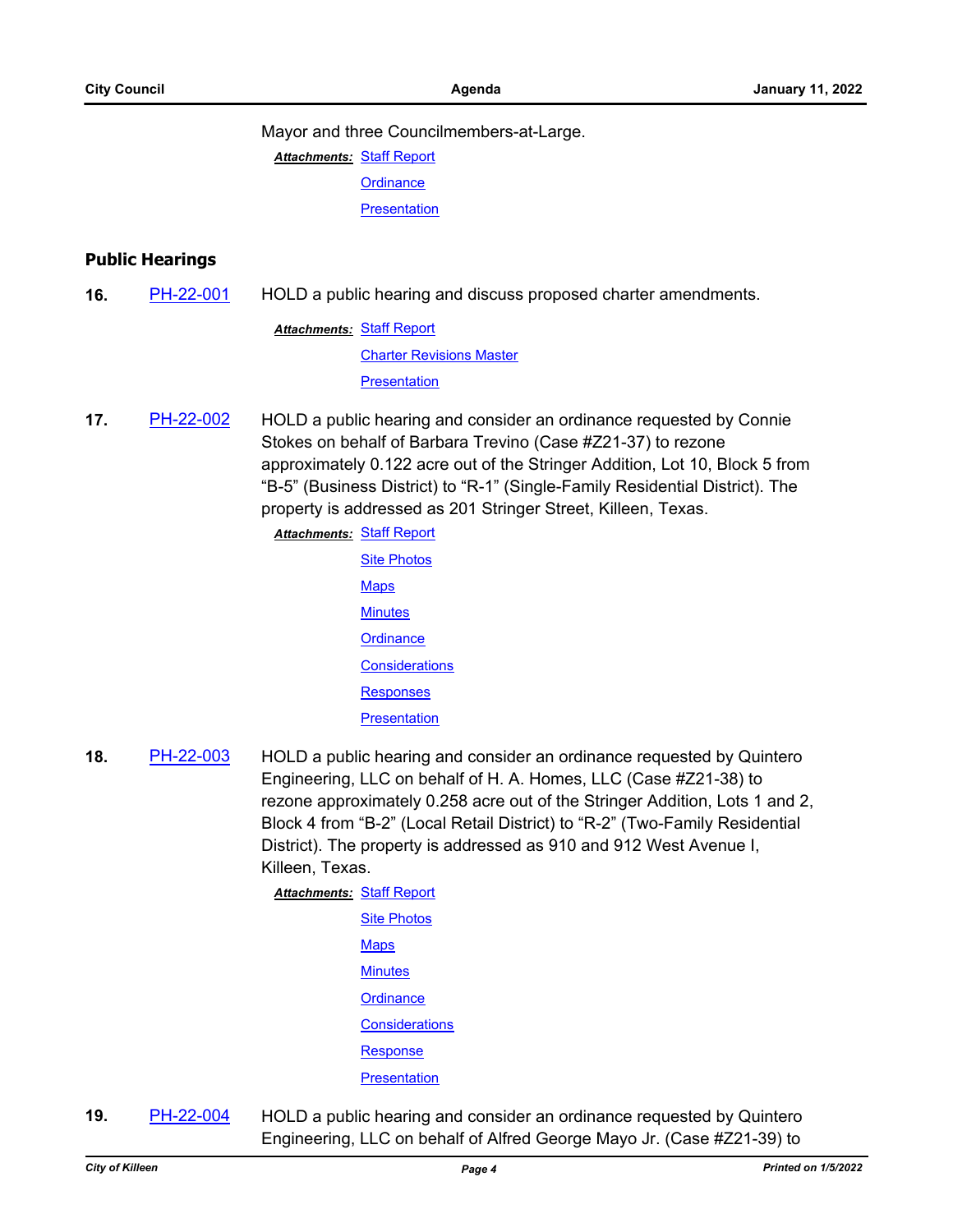Mayor and three Councilmembers-at-Large.

**Attachments: [Staff Report](http://killeen.legistar.com/gateway.aspx?M=F&ID=8c5d5041-f2c2-4265-92b5-7b2b0e0e81fb.pdf) [Ordinance](http://killeen.legistar.com/gateway.aspx?M=F&ID=30edcfd8-c18d-44ad-924f-a2f1392fa091.pdf)** 

**[Presentation](http://killeen.legistar.com/gateway.aspx?M=F&ID=46d138d1-0681-4a4e-bca8-e1eb318af917.pdf)** 

#### **Public Hearings**

**16.** [PH-22-001](http://killeen.legistar.com/gateway.aspx?m=l&id=/matter.aspx?key=5900) HOLD a public hearing and discuss proposed charter amendments.

**Attachments: [Staff Report](http://killeen.legistar.com/gateway.aspx?M=F&ID=3f661344-4784-461f-8701-4c75e3885940.pdf)** [Charter Revisions Master](http://killeen.legistar.com/gateway.aspx?M=F&ID=dad2531d-3dc9-4c0a-8aee-809a6e367334.pdf) **[Presentation](http://killeen.legistar.com/gateway.aspx?M=F&ID=9aa0ebe6-693b-4d87-b456-6ce5ab11d27c.pdf)** 

**17.** [PH-22-002](http://killeen.legistar.com/gateway.aspx?m=l&id=/matter.aspx?key=5867) HOLD a public hearing and consider an ordinance requested by Connie Stokes on behalf of Barbara Trevino (Case #Z21-37) to rezone approximately 0.122 acre out of the Stringer Addition, Lot 10, Block 5 from "B-5" (Business District) to "R-1" (Single-Family Residential District). The property is addressed as 201 Stringer Street, Killeen, Texas.

**Attachments: [Staff Report](http://killeen.legistar.com/gateway.aspx?M=F&ID=269400b2-e9e2-40b9-a793-865121ac655c.pdf)** 

**[Site Photos](http://killeen.legistar.com/gateway.aspx?M=F&ID=b8f39229-0255-4645-9a2e-d0ad7fd6535a.pdf) [Maps](http://killeen.legistar.com/gateway.aspx?M=F&ID=a5cc71ea-19cb-4be5-bf62-962e7cee843f.pdf) [Minutes](http://killeen.legistar.com/gateway.aspx?M=F&ID=c86a5e3c-a664-4eb8-958d-9f9ae31059d4.pdf) [Ordinance](http://killeen.legistar.com/gateway.aspx?M=F&ID=dc9c049b-42db-4840-910f-b63d1e56d8b0.pdf) [Considerations](http://killeen.legistar.com/gateway.aspx?M=F&ID=aa504e85-f0c2-49a5-a43b-430facca6633.pdf) [Responses](http://killeen.legistar.com/gateway.aspx?M=F&ID=6ebfd7cd-ef09-46eb-9998-516ced0fc072.pdf) [Presentation](http://killeen.legistar.com/gateway.aspx?M=F&ID=599f0e29-0dcb-45a8-abbb-496005e61d1c.pdf)** 

**18.** [PH-22-003](http://killeen.legistar.com/gateway.aspx?m=l&id=/matter.aspx?key=5868) HOLD a public hearing and consider an ordinance requested by Quintero Engineering, LLC on behalf of H. A. Homes, LLC (Case #Z21-38) to rezone approximately 0.258 acre out of the Stringer Addition, Lots 1 and 2, Block 4 from "B-2" (Local Retail District) to "R-2" (Two-Family Residential District). The property is addressed as 910 and 912 West Avenue I, Killeen, Texas.

**Attachments: [Staff Report](http://killeen.legistar.com/gateway.aspx?M=F&ID=9d8638fe-40c3-439f-b976-c3530e489cc5.pdf)** 

| <b>Site Photos</b>    |
|-----------------------|
| <b>Maps</b>           |
| <b>Minutes</b>        |
| Ordinance             |
| <b>Considerations</b> |
| <b>Response</b>       |
| Presentation          |

**19.** [PH-22-004](http://killeen.legistar.com/gateway.aspx?m=l&id=/matter.aspx?key=5869) HOLD a public hearing and consider an ordinance requested by Quintero Engineering, LLC on behalf of Alfred George Mayo Jr. (Case #Z21-39) to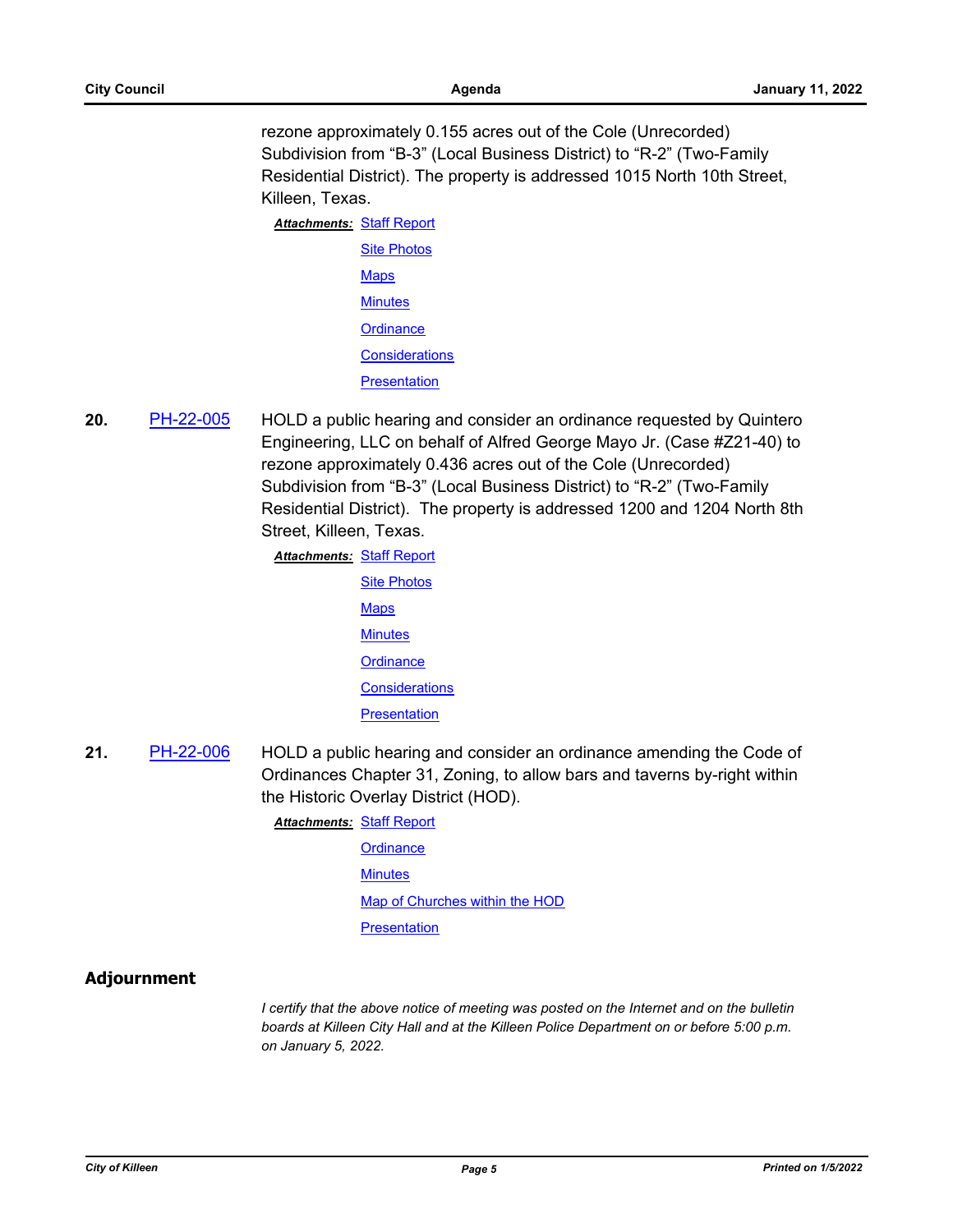rezone approximately 0.155 acres out of the Cole (Unrecorded) Subdivision from "B-3" (Local Business District) to "R-2" (Two-Family Residential District). The property is addressed 1015 North 10th Street, Killeen, Texas.

| <b>Attachments: Staff Report</b> |                       |
|----------------------------------|-----------------------|
|                                  | <b>Site Photos</b>    |
|                                  | <b>Maps</b>           |
|                                  | <b>Minutes</b>        |
|                                  | Ordinance             |
|                                  | <b>Considerations</b> |
|                                  | Presentation          |

**20.** [PH-22-005](http://killeen.legistar.com/gateway.aspx?m=l&id=/matter.aspx?key=5870) HOLD a public hearing and consider an ordinance requested by Quintero Engineering, LLC on behalf of Alfred George Mayo Jr. (Case #Z21-40) to rezone approximately 0.436 acres out of the Cole (Unrecorded) Subdivision from "B-3" (Local Business District) to "R-2" (Two-Family Residential District). The property is addressed 1200 and 1204 North 8th Street, Killeen, Texas.

**Attachments: [Staff Report](http://killeen.legistar.com/gateway.aspx?M=F&ID=cb7bda31-0671-4d49-9837-c5703d014889.pdf)** 

[Site Photos](http://killeen.legistar.com/gateway.aspx?M=F&ID=5ec00180-618b-4069-b103-daf245f617b9.pdf) [Maps](http://killeen.legistar.com/gateway.aspx?M=F&ID=00df9642-8e00-4d69-b5c6-aa17248d5e11.pdf) **[Minutes](http://killeen.legistar.com/gateway.aspx?M=F&ID=e5179e94-e38a-43b8-894f-7d367e1ab9ae.pdf) [Ordinance](http://killeen.legistar.com/gateway.aspx?M=F&ID=b27d8c0d-0174-47ae-8f00-eae42f2bf636.pdf) [Considerations](http://killeen.legistar.com/gateway.aspx?M=F&ID=6a4f45ab-042e-4f39-ad03-cdac727dd0f5.pdf) [Presentation](http://killeen.legistar.com/gateway.aspx?M=F&ID=2b636fbb-faec-457e-8a83-e3dcf947f3ec.pdf)** 

**21.** [PH-22-006](http://killeen.legistar.com/gateway.aspx?m=l&id=/matter.aspx?key=5895) HOLD a public hearing and consider an ordinance amending the Code of Ordinances Chapter 31, Zoning, to allow bars and taverns by-right within the Historic Overlay District (HOD).

**Attachments: [Staff Report](http://killeen.legistar.com/gateway.aspx?M=F&ID=dc876099-0462-4865-9325-9065e15ce9a0.pdf)** 

**[Ordinance](http://killeen.legistar.com/gateway.aspx?M=F&ID=decc2628-732a-4a02-85bc-0a6e1ede22af.pdf) [Minutes](http://killeen.legistar.com/gateway.aspx?M=F&ID=efa8d446-ab2f-4510-8f2e-2c799c3c3606.pdf)** [Map of Churches within the HOD](http://killeen.legistar.com/gateway.aspx?M=F&ID=7f178e4b-992d-4b0f-afd1-5900804601c9.pdf) **[Presentation](http://killeen.legistar.com/gateway.aspx?M=F&ID=c0bfa339-f6cd-4f6b-a94b-551c57393183.pdf)** 

#### **Adjournment**

*I certify that the above notice of meeting was posted on the Internet and on the bulletin boards at Killeen City Hall and at the Killeen Police Department on or before 5:00 p.m. on January 5, 2022.*